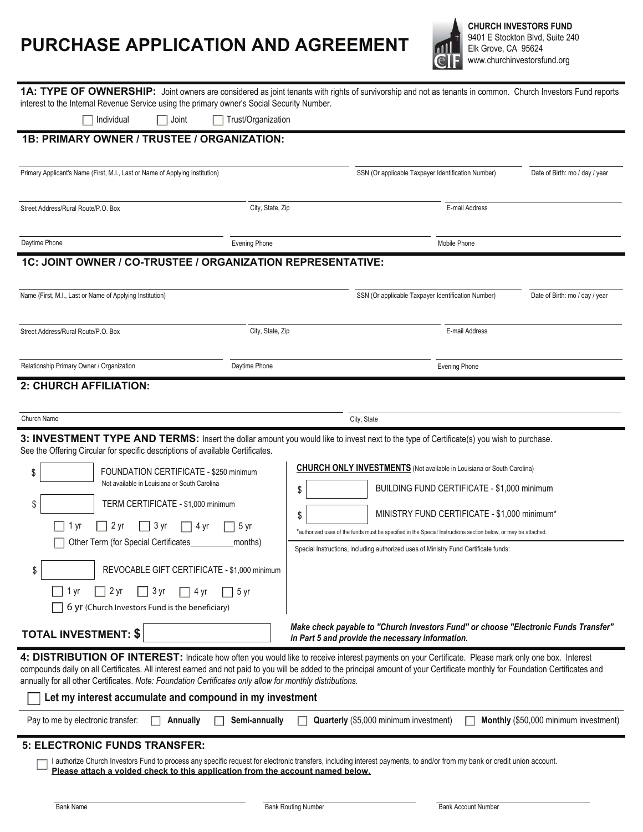## **PURCHASE APPLICATION AND AGREEMENT**



| interest to the Internal Revenue Service using the primary owner's Social Security Number.                                                                                                                                                                 |                      | 1A: TYPE OF OWNERSHIP: Joint owners are considered as joint tenants with rights of survivorship and not as tenants in common. Church Investors Fund reports                                                                                                                                                                                                                                                                                            |
|------------------------------------------------------------------------------------------------------------------------------------------------------------------------------------------------------------------------------------------------------------|----------------------|--------------------------------------------------------------------------------------------------------------------------------------------------------------------------------------------------------------------------------------------------------------------------------------------------------------------------------------------------------------------------------------------------------------------------------------------------------|
| Individual<br>Joint                                                                                                                                                                                                                                        | Trust/Organization   |                                                                                                                                                                                                                                                                                                                                                                                                                                                        |
| 1B: PRIMARY OWNER / TRUSTEE / ORGANIZATION:                                                                                                                                                                                                                |                      |                                                                                                                                                                                                                                                                                                                                                                                                                                                        |
| Primary Applicant's Name (First, M.I., Last or Name of Applying Institution)                                                                                                                                                                               |                      | SSN (Or applicable Taxpayer Identification Number)<br>Date of Birth: mo / day / year                                                                                                                                                                                                                                                                                                                                                                   |
|                                                                                                                                                                                                                                                            |                      |                                                                                                                                                                                                                                                                                                                                                                                                                                                        |
| Street Address/Rural Route/P.O. Box                                                                                                                                                                                                                        | City, State, Zip     | E-mail Address                                                                                                                                                                                                                                                                                                                                                                                                                                         |
| Daytime Phone                                                                                                                                                                                                                                              | <b>Evening Phone</b> | Mobile Phone                                                                                                                                                                                                                                                                                                                                                                                                                                           |
| 1C: JOINT OWNER / CO-TRUSTEE / ORGANIZATION REPRESENTATIVE:                                                                                                                                                                                                |                      |                                                                                                                                                                                                                                                                                                                                                                                                                                                        |
| Name (First, M.I., Last or Name of Applying Institution)                                                                                                                                                                                                   |                      | SSN (Or applicable Taxpayer Identification Number)<br>Date of Birth: mo / day / year                                                                                                                                                                                                                                                                                                                                                                   |
| Street Address/Rural Route/P.O. Box                                                                                                                                                                                                                        | City, State, Zip     | E-mail Address                                                                                                                                                                                                                                                                                                                                                                                                                                         |
| Relationship Primary Owner / Organization                                                                                                                                                                                                                  | Daytime Phone        | <b>Evening Phone</b>                                                                                                                                                                                                                                                                                                                                                                                                                                   |
| 2: CHURCH AFFILIATION:                                                                                                                                                                                                                                     |                      |                                                                                                                                                                                                                                                                                                                                                                                                                                                        |
|                                                                                                                                                                                                                                                            |                      |                                                                                                                                                                                                                                                                                                                                                                                                                                                        |
| Church Name                                                                                                                                                                                                                                                |                      | City, State                                                                                                                                                                                                                                                                                                                                                                                                                                            |
| See the Offering Circular for specific descriptions of available Certificates.<br>FOUNDATION CERTIFICATE - \$250 minimum<br>\$<br>Not available in Louisiana or South Carolina<br>\$<br>TERM CERTIFICATE - \$1,000 minimum<br>2 yr<br>3 yr<br>1 yr<br>4 vr | 5 yr                 | 3: INVESTMENT TYPE AND TERMS: Insert the dollar amount you would like to invest next to the type of Certificate(s) you wish to purchase.<br><b>CHURCH ONLY INVESTMENTS</b> (Not available in Louisiana or South Carolina)<br>BUILDING FUND CERTIFICATE - \$1,000 minimum<br>\$<br>MINISTRY FUND CERTIFICATE - \$1,000 minimum*<br>\$<br>*authorized uses of the funds must be specified in the Special Instructions section below, or may be attached. |
| Other Term (for Special Certificates                                                                                                                                                                                                                       | months)              | Special Instructions, including authorized uses of Ministry Fund Certificate funds:                                                                                                                                                                                                                                                                                                                                                                    |
| \$<br>REVOCABLE GIFT CERTIFICATE - \$1,000 minimum<br>3 yr<br>2 yr<br>1 yr<br>4 yr<br>6 yr (Church Investors Fund is the beneficiary)                                                                                                                      | 5 yr                 |                                                                                                                                                                                                                                                                                                                                                                                                                                                        |
| <b>TOTAL INVESTMENT: \$</b>                                                                                                                                                                                                                                |                      | Make check payable to "Church Investors Fund" or choose "Electronic Funds Transfer"<br>in Part 5 and provide the necessary information.                                                                                                                                                                                                                                                                                                                |
| annually for all other Certificates. Note: Foundation Certificates only allow for monthly distributions.<br>Let my interest accumulate and compound in my investment<br>Pay to me by electronic transfer:<br>Annually                                      | Semi-annually        | 4: DISTRIBUTION OF INTEREST: Indicate how often you would like to receive interest payments on your Certificate. Please mark only one box. Interest<br>compounds daily on all Certificates. All interest earned and not paid to you will be added to the principal amount of your Certificate monthly for Foundation Certificates and<br>Quarterly (\$5,000 minimum investment)<br>Monthly (\$50,000 minimum investment)                               |
| 5: ELECTRONIC FUNDS TRANSFER:<br>Please attach a voided check to this application from the account named below.                                                                                                                                            |                      | I authorize Church Investors Fund to process any specific request for electronic transfers, including interest payments, to and/or from my bank or credit union account.                                                                                                                                                                                                                                                                               |

Bank Name Bank Routing Number Bank Routing Number Bank Routing Number Bank Routing Number Bank Account Number